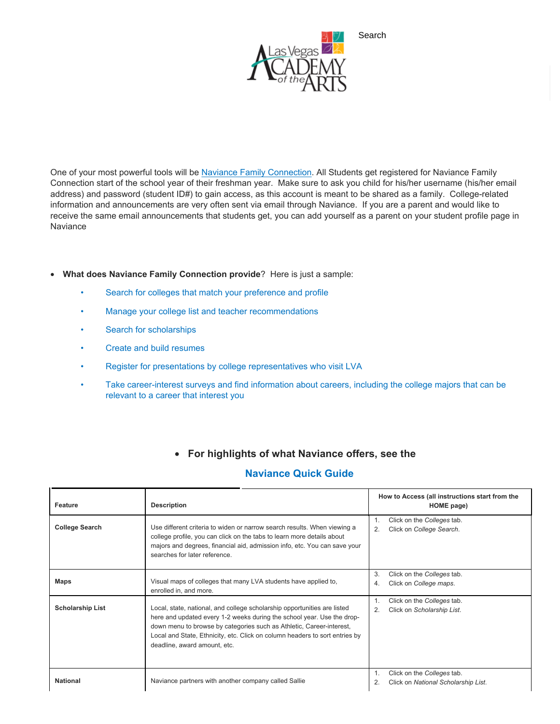

Search

One of your most powerful tools will be [Naviance Family Connection.](https://connection.naviance.com/family-connection/auth/login/?hsid=lva) All Students get registered for Naviance Family Connection start of the school year of their freshman year. Make sure to ask you child for his/her username (his/her email address) and password (student ID#) to gain access, as this account is meant to be shared as a family. College-related information and announcements are very often sent via email through Naviance. If you are a parent and would like to receive the same email announcements that students get, you can add yourself as a parent on your student profile page in **Naviance** 

## • **What does Naviance Family Connection provide**? Here is just a sample:

- Search for colleges that match your preference and profile
- Manage your college list and teacher recommendations
- Search for scholarships
- Create and build resumes
- Register for presentations by college representatives who visit LVA
- Take career-interest surveys and find information about careers, including the college majors that can be relevant to a career that interest you

## • **For highlights of what Naviance offers, see the**

## **Naviance Quick Guide**

| Feature                 | <b>Description</b>                                                                                                                                                                                                                                                                                                                        | How to Access (all instructions start from the<br>HOME page)            |  |
|-------------------------|-------------------------------------------------------------------------------------------------------------------------------------------------------------------------------------------------------------------------------------------------------------------------------------------------------------------------------------------|-------------------------------------------------------------------------|--|
| <b>College Search</b>   | Use different criteria to widen or narrow search results. When viewing a<br>college profile, you can click on the tabs to learn more details about<br>majors and degrees, financial aid, admission info, etc. You can save your<br>searches for later reference                                                                           | Click on the Colleges tab.<br>1.<br>Click on College Search.<br>2.      |  |
| Maps                    | Visual maps of colleges that many LVA students have applied to,<br>enrolled in, and more.                                                                                                                                                                                                                                                 | 3.<br>Click on the Colleges tab.<br>Click on College maps.<br>4.        |  |
| <b>Scholarship List</b> | Local, state, national, and college scholarship opportunities are listed<br>here and updated every 1-2 weeks during the school year. Use the drop-<br>down menu to browse by categories such as Athletic, Career-interest,<br>Local and State, Ethnicity, etc. Click on column headers to sort entries by<br>deadline, award amount, etc. | Click on the Colleges tab.<br>Click on Scholarship List.<br>2.          |  |
| <b>National</b>         | Naviance partners with another company called Sallie                                                                                                                                                                                                                                                                                      | Click on the Colleges tab.<br>Click on National Scholarship List.<br>2. |  |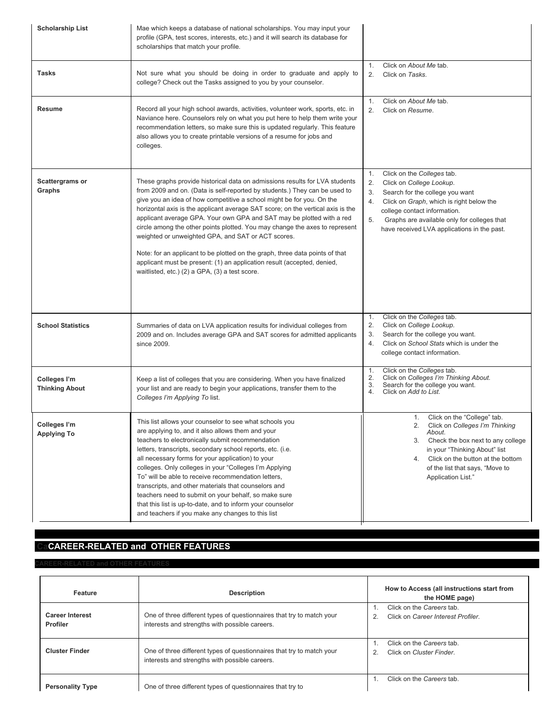| <b>Scholarship List</b>               | Mae which keeps a database of national scholarships. You may input your<br>profile (GPA, test scores, interests, etc.) and it will search its database for<br>scholarships that match your profile.                                                                                                                                                                                                                                                                                                                                                                                                                                                                                                                                              |                                               |                                                                                                                                                                                                                                                                     |
|---------------------------------------|--------------------------------------------------------------------------------------------------------------------------------------------------------------------------------------------------------------------------------------------------------------------------------------------------------------------------------------------------------------------------------------------------------------------------------------------------------------------------------------------------------------------------------------------------------------------------------------------------------------------------------------------------------------------------------------------------------------------------------------------------|-----------------------------------------------|---------------------------------------------------------------------------------------------------------------------------------------------------------------------------------------------------------------------------------------------------------------------|
| <b>Tasks</b>                          | Not sure what you should be doing in order to graduate and apply to<br>college? Check out the Tasks assigned to you by your counselor.                                                                                                                                                                                                                                                                                                                                                                                                                                                                                                                                                                                                           | 1.<br>2.<br>Click on Tasks.                   | Click on About Me tab.                                                                                                                                                                                                                                              |
| <b>Resume</b>                         | Record all your high school awards, activities, volunteer work, sports, etc. in<br>Naviance here. Counselors rely on what you put here to help them write your<br>recommendation letters, so make sure this is updated regularly. This feature<br>also allows you to create printable versions of a resume for jobs and<br>colleges.                                                                                                                                                                                                                                                                                                                                                                                                             | 1.<br>2.<br>Click on Resume.                  | Click on About Me tab.                                                                                                                                                                                                                                              |
| <b>Scattergrams or</b><br>Graphs      | These graphs provide historical data on admissions results for LVA students<br>from 2009 and on. (Data is self-reported by students.) They can be used to<br>give you an idea of how competitive a school might be for you. On the<br>horizontal axis is the applicant average SAT score; on the vertical axis is the<br>applicant average GPA. Your own GPA and SAT may be plotted with a red<br>circle among the other points plotted. You may change the axes to represent<br>weighted or unweighted GPA, and SAT or ACT scores.<br>Note: for an applicant to be plotted on the graph, three data points of that<br>applicant must be present: (1) an application result (accepted, denied,<br>waitlisted, etc.) (2) a GPA, (3) a test score. | 1.<br>2.<br>3.<br>4.<br>5.                    | Click on the Colleges tab.<br>Click on College Lookup.<br>Search for the college you want<br>Click on Graph, which is right below the<br>college contact information.<br>Graphs are available only for colleges that<br>have received LVA applications in the past. |
| <b>School Statistics</b>              | Summaries of data on LVA application results for individual colleges from<br>2009 and on. Includes average GPA and SAT scores for admitted applicants<br>since 2009.                                                                                                                                                                                                                                                                                                                                                                                                                                                                                                                                                                             | 1.<br>2.<br>3.<br>4.                          | Click on the Colleges tab.<br>Click on College Lookup.<br>Search for the college you want.<br>Click on School Stats which is under the<br>college contact information.                                                                                              |
| Colleges I'm<br><b>Thinking About</b> | Keep a list of colleges that you are considering. When you have finalized<br>your list and are ready to begin your applications, transfer them to the<br>Colleges I'm Applying To list.                                                                                                                                                                                                                                                                                                                                                                                                                                                                                                                                                          | 1.<br>2.<br>3.<br>4.<br>Click on Add to List. | Click on the Colleges tab.<br>Click on Colleges I'm Thinking About.<br>Search for the college you want.                                                                                                                                                             |
| Colleges I'm<br><b>Applying To</b>    | This list allows your counselor to see what schools you<br>are applying to, and it also allows them and your<br>teachers to electronically submit recommendation<br>letters, transcripts, secondary school reports, etc. (i.e.<br>all necessary forms for your application) to your<br>colleges. Only colleges in your "Colleges I'm Applying<br>To" will be able to receive recommendation letters,<br>transcripts, and other materials that counselors and<br>teachers need to submit on your behalf, so make sure<br>that this list is up-to-date, and to inform your counselor<br>and teachers if you make any changes to this list                                                                                                          |                                               | Click on the "College" tab.<br>1.<br>Click on Colleges I'm Thinking<br>2.<br>About.<br>3.<br>Check the box next to any college<br>in your "Thinking About" list<br>4. Click on the button at the bottom<br>of the list that says, "Move to<br>Application List."    |

## **CaCAREER-RELATED and OTHER FEATURES**

**EER-RELATED and OTHER FEATURES** 

| Feature                                   | <b>Description</b>                                                                                                      | How to Access (all instructions start from<br>the HOME page)    |
|-------------------------------------------|-------------------------------------------------------------------------------------------------------------------------|-----------------------------------------------------------------|
| <b>Career Interest</b><br><b>Profiler</b> | One of three different types of questionnaires that try to match your<br>interests and strengths with possible careers. | Click on the Careers tab.<br>Click on Career Interest Profiler. |
| <b>Cluster Finder</b>                     | One of three different types of questionnaires that try to match your<br>interests and strengths with possible careers. | Click on the Careers tab.<br>Click on Cluster Finder.           |
| <b>Personality Type</b>                   | One of three different types of questionnaires that try to                                                              | Click on the Careers tab.                                       |